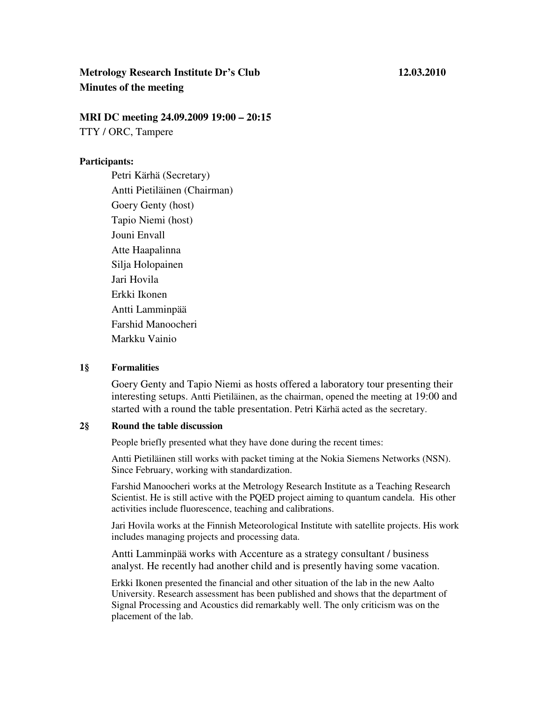# **Metrology Research Institute Dr's Club 12.03.2010 Minutes of the meeting**

# **MRI DC meeting 24.09.2009 19:00 – 20:15**

TTY / ORC, Tampere

#### **Participants:**

Petri Kärhä (Secretary) Antti Pietiläinen (Chairman) Goery Genty (host) Tapio Niemi (host) Jouni Envall Atte Haapalinna Silja Holopainen Jari Hovila Erkki Ikonen Antti Lamminpää Farshid Manoocheri Markku Vainio

#### **1§ Formalities**

Goery Genty and Tapio Niemi as hosts offered a laboratory tour presenting their interesting setups. Antti Pietiläinen, as the chairman, opened the meeting at 19:00 and started with a round the table presentation. Petri Kärhä acted as the secretary.

#### **2§ Round the table discussion**

People briefly presented what they have done during the recent times:

Antti Pietiläinen still works with packet timing at the Nokia Siemens Networks (NSN). Since February, working with standardization.

Farshid Manoocheri works at the Metrology Research Institute as a Teaching Research Scientist. He is still active with the PQED project aiming to quantum candela. His other activities include fluorescence, teaching and calibrations.

Jari Hovila works at the Finnish Meteorological Institute with satellite projects. His work includes managing projects and processing data.

Antti Lamminpää works with Accenture as a strategy consultant / business analyst. He recently had another child and is presently having some vacation.

Erkki Ikonen presented the financial and other situation of the lab in the new Aalto University. Research assessment has been published and shows that the department of Signal Processing and Acoustics did remarkably well. The only criticism was on the placement of the lab.